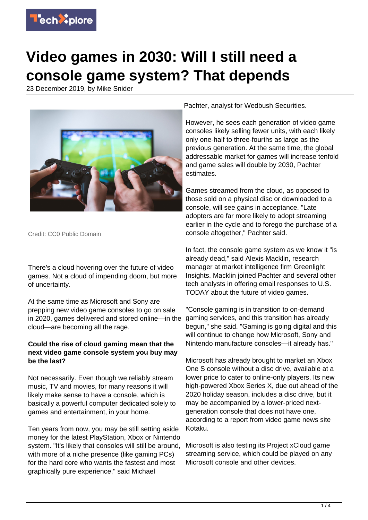

# **Video games in 2030: Will I still need a console game system? That depends**

23 December 2019, by Mike Snider



Credit: CC0 Public Domain

There's a cloud hovering over the future of video games. Not a cloud of impending doom, but more of uncertainty.

At the same time as Microsoft and Sony are prepping new video game consoles to go on sale in 2020, games delivered and stored online—in the cloud—are becoming all the rage.

#### **Could the rise of cloud gaming mean that the next video game console system you buy may be the last?**

Not necessarily. Even though we reliably stream music, TV and movies, for many reasons it will likely make sense to have a console, which is basically a powerful computer dedicated solely to games and entertainment, in your home.

Ten years from now, you may be still setting aside money for the latest PlayStation, Xbox or Nintendo system. "It's likely that consoles will still be around, with more of a niche presence (like gaming PCs) for the hard core who wants the fastest and most graphically pure experience," said Michael

Pachter, analyst for Wedbush Securities.

However, he sees each generation of video game consoles likely selling fewer units, with each likely only one-half to three-fourths as large as the previous generation. At the same time, the global addressable market for games will increase tenfold and game sales will double by 2030, Pachter estimates.

Games streamed from the cloud, as opposed to those sold on a physical disc or downloaded to a console, will see gains in acceptance. "Late adopters are far more likely to adopt streaming earlier in the cycle and to forego the purchase of a console altogether," Pachter said.

In fact, the console game system as we know it "is already dead," said Alexis Macklin, research manager at market intelligence firm Greenlight Insights. Macklin joined Pachter and several other tech analysts in offering email responses to U.S. TODAY about the future of video games.

"Console gaming is in transition to on-demand gaming services, and this transition has already begun," she said. "Gaming is going digital and this will continue to change how Microsoft, Sony and Nintendo manufacture consoles—it already has."

Microsoft has already brought to market an Xbox One S console without a disc drive, available at a lower price to cater to online-only players. Its new high-powered Xbox Series X, due out ahead of the 2020 holiday season, includes a disc drive, but it may be accompanied by a lower-priced nextgeneration console that does not have one, according to a report from video game news site Kotaku.

Microsoft is also testing its Project xCloud game streaming service, which could be played on any Microsoft console and other devices.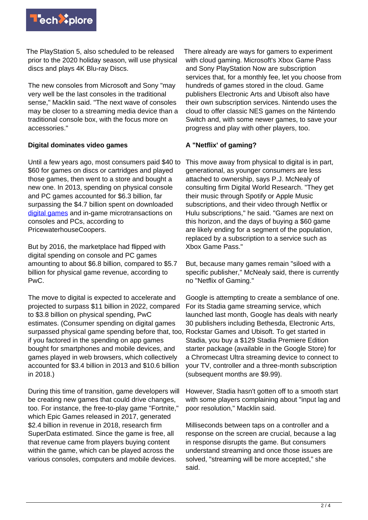

The PlayStation 5, also scheduled to be released prior to the 2020 holiday season, will use physical discs and plays 4K Blu-ray Discs.

The new consoles from Microsoft and Sony "may very well be the last consoles in the traditional sense," Macklin said. "The next wave of consoles may be closer to a streaming media device than a traditional console box, with the focus more on accessories."

### **Digital dominates video games**

Until a few years ago, most consumers paid \$40 to \$60 for games on discs or cartridges and played those games, then went to a store and bought a new one. In 2013, spending on physical console and PC games accounted for \$6.3 billion, far surpassing the \$4.7 billion spent on downloaded [digital games](https://techxplore.com/tags/digital+games/) and in-game microtransactions on consoles and PCs, according to PricewaterhouseCoopers.

But by 2016, the marketplace had flipped with digital spending on console and PC games amounting to about \$6.8 billion, compared to \$5.7 billion for physical game revenue, according to PwC.

The move to digital is expected to accelerate and projected to surpass \$11 billion in 2022, compared to \$3.8 billion on physical spending, PwC estimates. (Consumer spending on digital games surpassed physical game spending before that, too, Rockstar Games and Ubisoft. To get started in if you factored in the spending on app games bought for smartphones and mobile devices, and games played in web browsers, which collectively accounted for \$3.4 billion in 2013 and \$10.6 billion in 2018.)

During this time of transition, game developers will be creating new games that could drive changes, too. For instance, the free-to-play game "Fortnite," which Epic Games released in 2017, generated \$2.4 billion in revenue in 2018, research firm SuperData estimated. Since the game is free, all that revenue came from players buying content within the game, which can be played across the various consoles, computers and mobile devices.

There already are ways for gamers to experiment with cloud gaming. Microsoft's Xbox Game Pass and Sony PlayStation Now are subscription services that, for a monthly fee, let you choose from hundreds of games stored in the cloud. Game publishers Electronic Arts and Ubisoft also have their own subscription services. Nintendo uses the cloud to offer classic NES games on the Nintendo Switch and, with some newer games, to save your progress and play with other players, too.

# **A "Netflix' of gaming?**

This move away from physical to digital is in part, generational, as younger consumers are less attached to ownership, says P.J. McNealy of consulting firm Digital World Research. "They get their music through Spotify or Apple Music subscriptions, and their video through Netflix or Hulu subscriptions," he said. "Games are next on this horizon, and the days of buying a \$60 game are likely ending for a segment of the population, replaced by a subscription to a service such as Xbox Game Pass."

But, because many games remain "siloed with a specific publisher," McNealy said, there is currently no "Netflix of Gaming."

Google is attempting to create a semblance of one. For its Stadia game streaming service, which launched last month, Google has deals with nearly 30 publishers including Bethesda, Electronic Arts, Stadia, you buy a \$129 Stadia Premiere Edition starter package (available in the Google Store) for a Chromecast Ultra streaming device to connect to your TV, controller and a three-month subscription (subsequent months are \$9.99).

However, Stadia hasn't gotten off to a smooth start with some players complaining about "input lag and poor resolution," Macklin said.

Milliseconds between taps on a controller and a response on the screen are crucial, because a lag in response disrupts the game. But consumers understand streaming and once those issues are solved, "streaming will be more accepted," she said.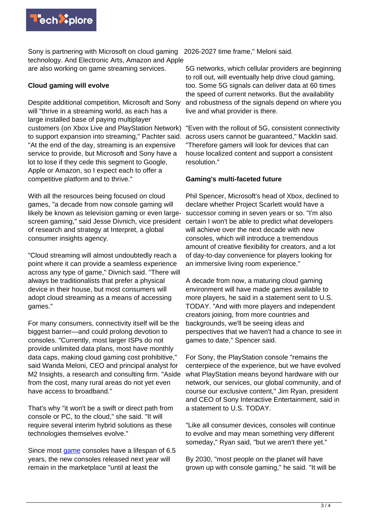

Sony is partnering with Microsoft on cloud gaming 2026-2027 time frame," Meloni said. technology. And Electronic Arts, Amazon and Apple are also working on game streaming services.

## **Cloud gaming will evolve**

Despite additional competition, Microsoft and Sony will "thrive in a streaming world, as each has a large installed base of paying multiplayer customers (on Xbox Live and PlayStation Network) to support expansion into streaming," Pachter said. "At the end of the day, streaming is an expensive service to provide, but Microsoft and Sony have a lot to lose if they cede this segment to Google, Apple or Amazon, so I expect each to offer a competitive platform and to thrive."

With all the resources being focused on cloud games, "a decade from now console gaming will likely be known as television gaming or even largescreen gaming," said Jesse Divnich, vice president of research and strategy at Interpret, a global consumer insights agency.

"Cloud streaming will almost undoubtedly reach a point where it can provide a seamless experience across any type of game," Divnich said. "There will always be traditionalists that prefer a physical device in their house, but most consumers will adopt cloud streaming as a means of accessing games."

For many consumers, connectivity itself will be the biggest barrier—and could prolong devotion to consoles. "Currently, most larger ISPs do not provide unlimited data plans, most have monthly data caps, making cloud gaming cost prohibitive," said Wanda Meloni, CEO and principal analyst for M2 Insights, a research and consulting firm. "Aside from the cost, many rural areas do not yet even have access to broadband."

That's why "it won't be a swift or direct path from console or PC, to the cloud," she said. "It will require several interim hybrid solutions as these technologies themselves evolve."

Since most [game](https://techxplore.com/tags/game/) consoles have a lifespan of 6.5 years, the new consoles released next year will remain in the marketplace "until at least the

5G networks, which cellular providers are beginning to roll out, will eventually help drive cloud gaming, too. Some 5G signals can deliver data at 60 times the speed of current networks. But the availability and robustness of the signals depend on where you live and what provider is there.

"Even with the rollout of 5G, consistent connectivity across users cannot be guaranteed," Macklin said. "Therefore gamers will look for devices that can house localized content and support a consistent resolution."

#### **Gaming's multi-faceted future**

Phil Spencer, Microsoft's head of Xbox, declined to declare whether Project Scarlett would have a successor coming in seven years or so. "I'm also certain I won't be able to predict what developers will achieve over the next decade with new consoles, which will introduce a tremendous amount of creative flexibility for creators, and a lot of day-to-day convenience for players looking for an immersive living room experience."

A decade from now, a maturing cloud gaming environment will have made games available to more players, he said in a statement sent to U.S. TODAY. "And with more players and independent creators joining, from more countries and backgrounds, we'll be seeing ideas and perspectives that we haven't had a chance to see in games to date," Spencer said.

For Sony, the PlayStation console "remains the centerpiece of the experience, but we have evolved what PlayStation means beyond hardware with our network, our services, our global community, and of course our exclusive content," Jim Ryan, president and CEO of Sony Interactive Entertainment, said in a statement to U.S. TODAY.

"Like all consumer devices, consoles will continue to evolve and may mean something very different someday," Ryan said, "but we aren't there yet."

By 2030, "most people on the planet will have grown up with console gaming," he said. "It will be